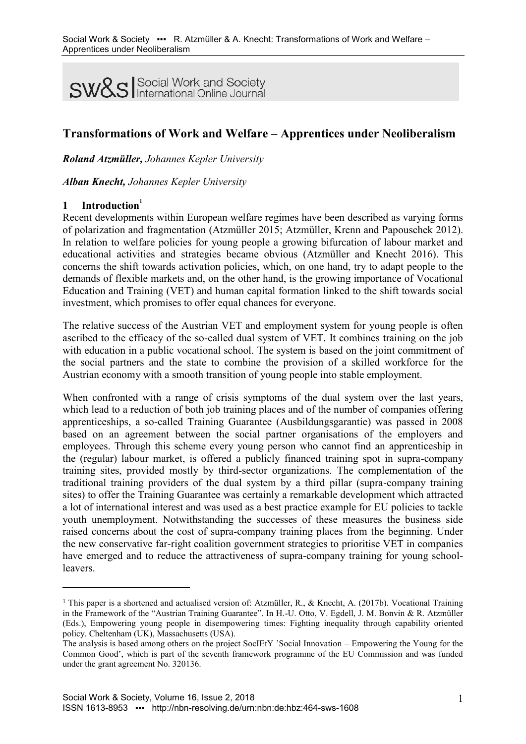**SW&S** Social Work and Society

# **Transformations of Work and Welfare – Apprentices under Neoliberalism**

*Roland Atzmüller, Johannes Kepler University*

*Alban Knecht, Johannes Kepler University*

## **1 Introduction<sup>1</sup>**

 $\overline{a}$ 

Recent developments within European welfare regimes have been described as varying forms of polarization and fragmentation (Atzmüller 2015; Atzmüller, Krenn and Papouschek 2012). In relation to welfare policies for young people a growing bifurcation of labour market and educational activities and strategies became obvious (Atzmüller and Knecht 2016). This concerns the shift towards activation policies, which, on one hand, try to adapt people to the demands of flexible markets and, on the other hand, is the growing importance of Vocational Education and Training (VET) and human capital formation linked to the shift towards social investment, which promises to offer equal chances for everyone.

The relative success of the Austrian VET and employment system for young people is often ascribed to the efficacy of the so-called dual system of VET. It combines training on the job with education in a public vocational school. The system is based on the joint commitment of the social partners and the state to combine the provision of a skilled workforce for the Austrian economy with a smooth transition of young people into stable employment.

When confronted with a range of crisis symptoms of the dual system over the last years, which lead to a reduction of both job training places and of the number of companies offering apprenticeships, a so-called Training Guarantee (Ausbildungsgarantie) was passed in 2008 based on an agreement between the social partner organisations of the employers and employees. Through this scheme every young person who cannot find an apprenticeship in the (regular) labour market, is offered a publicly financed training spot in supra-company training sites, provided mostly by third-sector organizations. The complementation of the traditional training providers of the dual system by a third pillar (supra-company training sites) to offer the Training Guarantee was certainly a remarkable development which attracted a lot of international interest and was used as a best practice example for EU policies to tackle youth unemployment. Notwithstanding the successes of these measures the business side raised concerns about the cost of supra-company training places from the beginning. Under the new conservative far-right coalition government strategies to prioritise VET in companies have emerged and to reduce the attractiveness of supra-company training for young schoolleavers.

<sup>&</sup>lt;sup>1</sup> This paper is a shortened and actualised version of: Atzmüller, R., & Knecht, A. (2017b). Vocational Training in the Framework of the "Austrian Training Guarantee". In H.-U. Otto, V. Egdell, J. M. Bonvin & R. Atzmüller (Eds.), Empowering young people in disempowering times: Fighting inequality through capability oriented policy. Cheltenham (UK), Massachusetts (USA).

The analysis is based among others on the project SocIEtY 'Social Innovation – Empowering the Young for the Common Good', which is part of the seventh framework programme of the EU Commission and was funded under the grant agreement No. 320136.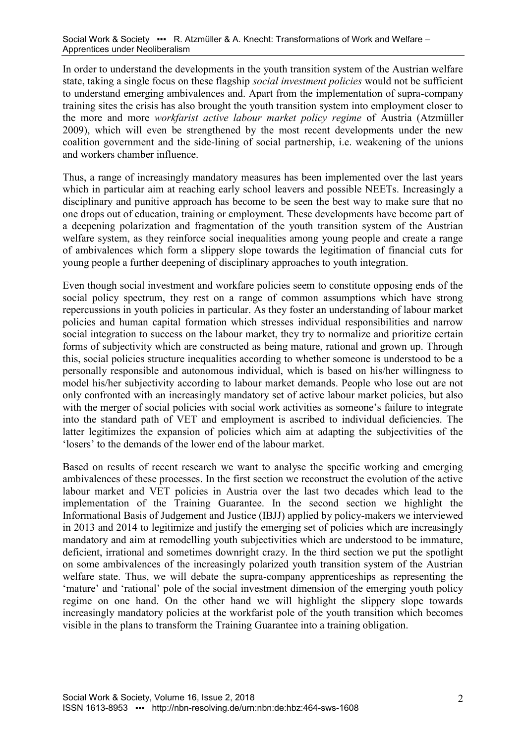In order to understand the developments in the youth transition system of the Austrian welfare state, taking a single focus on these flagship *social investment policies* would not be sufficient to understand emerging ambivalences and. Apart from the implementation of supra-company training sites the crisis has also brought the youth transition system into employment closer to the more and more *workfarist active labour market policy regime* of Austria (Atzmüller 2009), which will even be strengthened by the most recent developments under the new coalition government and the side-lining of social partnership, i.e. weakening of the unions and workers chamber influence.

Thus, a range of increasingly mandatory measures has been implemented over the last years which in particular aim at reaching early school leavers and possible NEETs. Increasingly a disciplinary and punitive approach has become to be seen the best way to make sure that no one drops out of education, training or employment. These developments have become part of a deepening polarization and fragmentation of the youth transition system of the Austrian welfare system, as they reinforce social inequalities among young people and create a range of ambivalences which form a slippery slope towards the legitimation of financial cuts for young people a further deepening of disciplinary approaches to youth integration.

Even though social investment and workfare policies seem to constitute opposing ends of the social policy spectrum, they rest on a range of common assumptions which have strong repercussions in youth policies in particular. As they foster an understanding of labour market policies and human capital formation which stresses individual responsibilities and narrow social integration to success on the labour market, they try to normalize and prioritize certain forms of subjectivity which are constructed as being mature, rational and grown up. Through this, social policies structure inequalities according to whether someone is understood to be a personally responsible and autonomous individual, which is based on his/her willingness to model his/her subjectivity according to labour market demands. People who lose out are not only confronted with an increasingly mandatory set of active labour market policies, but also with the merger of social policies with social work activities as someone's failure to integrate into the standard path of VET and employment is ascribed to individual deficiencies. The latter legitimizes the expansion of policies which aim at adapting the subjectivities of the 'losers' to the demands of the lower end of the labour market.

Based on results of recent research we want to analyse the specific working and emerging ambivalences of these processes. In the first section we reconstruct the evolution of the active labour market and VET policies in Austria over the last two decades which lead to the implementation of the Training Guarantee. In the second section we highlight the Informational Basis of Judgement and Justice (IBJJ) applied by policy-makers we interviewed in 2013 and 2014 to legitimize and justify the emerging set of policies which are increasingly mandatory and aim at remodelling youth subjectivities which are understood to be immature, deficient, irrational and sometimes downright crazy. In the third section we put the spotlight on some ambivalences of the increasingly polarized youth transition system of the Austrian welfare state. Thus, we will debate the supra-company apprenticeships as representing the 'mature' and 'rational' pole of the social investment dimension of the emerging youth policy regime on one hand. On the other hand we will highlight the slippery slope towards increasingly mandatory policies at the workfarist pole of the youth transition which becomes visible in the plans to transform the Training Guarantee into a training obligation.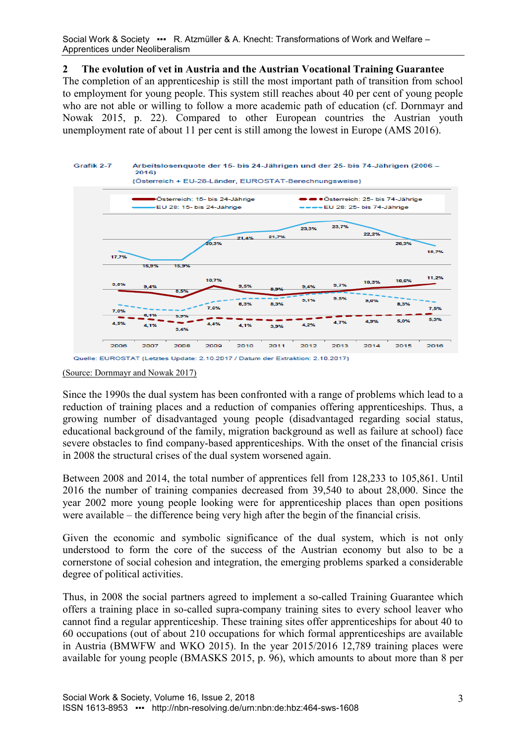Social Work & Society ••• R. Atzmüller & A. Knecht: Transformations of Work and Welfare – Apprentices under Neoliberalism

#### **2 The evolution of vet in Austria and the Austrian Vocational Training Guarantee**

The completion of an apprenticeship is still the most important path of transition from school to employment for young people. This system still reaches about 40 per cent of young people who are not able or willing to follow a more academic path of education (cf. Dornmayr and Nowak 2015, p. 22). Compared to other European countries the Austrian youth unemployment rate of about 11 per cent is still among the lowest in Europe (AMS 2016).



(Source: Dornmayr and Nowak 2017)

Since the 1990s the dual system has been confronted with a range of problems which lead to a reduction of training places and a reduction of companies offering apprenticeships. Thus, a growing number of disadvantaged young people (disadvantaged regarding social status, educational background of the family, migration background as well as failure at school) face severe obstacles to find company-based apprenticeships. With the onset of the financial crisis in 2008 the structural crises of the dual system worsened again.

Between 2008 and 2014, the total number of apprentices fell from 128,233 to 105,861. Until 2016 the number of training companies decreased from 39,540 to about 28,000. Since the year 2002 more young people looking were for apprenticeship places than open positions were available – the difference being very high after the begin of the financial crisis.

Given the economic and symbolic significance of the dual system, which is not only understood to form the core of the success of the Austrian economy but also to be a cornerstone of social cohesion and integration, the emerging problems sparked a considerable degree of political activities.

Thus, in 2008 the social partners agreed to implement a so-called Training Guarantee which offers a training place in so-called supra-company training sites to every school leaver who cannot find a regular apprenticeship. These training sites offer apprenticeships for about 40 to 60 occupations (out of about 210 occupations for which formal apprenticeships are available in Austria (BMWFW and WKO 2015). In the year 2015/2016 12,789 training places were available for young people (BMASKS 2015, p. 96), which amounts to about more than 8 per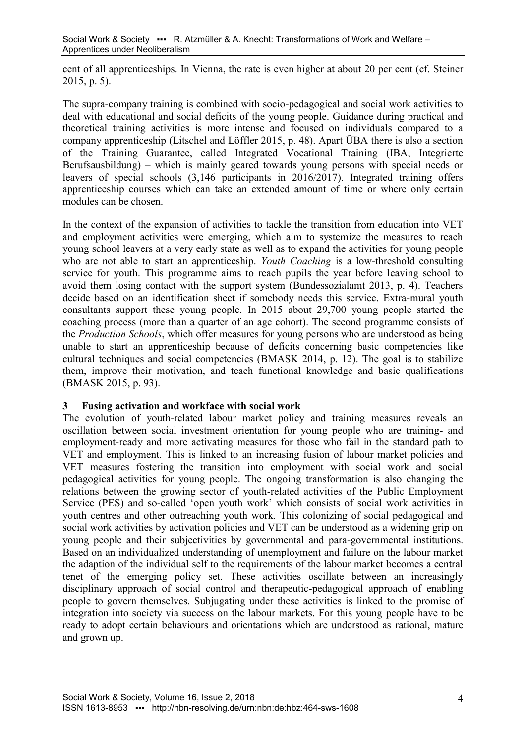cent of all apprenticeships. In Vienna, the rate is even higher at about 20 per cent (cf. Steiner 2015, p. 5).

The supra-company training is combined with socio-pedagogical and social work activities to deal with educational and social deficits of the young people. Guidance during practical and theoretical training activities is more intense and focused on individuals compared to a company apprenticeship (Litschel and Löffler 2015, p. 48). Apart ÜBA there is also a section of the Training Guarantee, called Integrated Vocational Training (IBA, Integrierte Berufsausbildung) – which is mainly geared towards young persons with special needs or leavers of special schools (3,146 participants in 2016/2017). Integrated training offers apprenticeship courses which can take an extended amount of time or where only certain modules can be chosen.

In the context of the expansion of activities to tackle the transition from education into VET and employment activities were emerging, which aim to systemize the measures to reach young school leavers at a very early state as well as to expand the activities for young people who are not able to start an apprenticeship. *Youth Coaching* is a low-threshold consulting service for youth. This programme aims to reach pupils the year before leaving school to avoid them losing contact with the support system (Bundessozialamt 2013, p. 4). Teachers decide based on an identification sheet if somebody needs this service. Extra-mural youth consultants support these young people. In 2015 about 29,700 young people started the coaching process (more than a quarter of an age cohort). The second programme consists of the *Production Schools*, which offer measures for young persons who are understood as being unable to start an apprenticeship because of deficits concerning basic competencies like cultural techniques and social competencies (BMASK 2014, p. 12). The goal is to stabilize them, improve their motivation, and teach functional knowledge and basic qualifications (BMASK 2015, p. 93).

## **3 Fusing activation and workface with social work**

The evolution of youth-related labour market policy and training measures reveals an oscillation between social investment orientation for young people who are training- and employment-ready and more activating measures for those who fail in the standard path to VET and employment. This is linked to an increasing fusion of labour market policies and VET measures fostering the transition into employment with social work and social pedagogical activities for young people. The ongoing transformation is also changing the relations between the growing sector of youth-related activities of the Public Employment Service (PES) and so-called 'open youth work' which consists of social work activities in youth centres and other outreaching youth work. This colonizing of social pedagogical and social work activities by activation policies and VET can be understood as a widening grip on young people and their subjectivities by governmental and para-governmental institutions. Based on an individualized understanding of unemployment and failure on the labour market the adaption of the individual self to the requirements of the labour market becomes a central tenet of the emerging policy set. These activities oscillate between an increasingly disciplinary approach of social control and therapeutic-pedagogical approach of enabling people to govern themselves. Subjugating under these activities is linked to the promise of integration into society via success on the labour markets. For this young people have to be ready to adopt certain behaviours and orientations which are understood as rational, mature and grown up.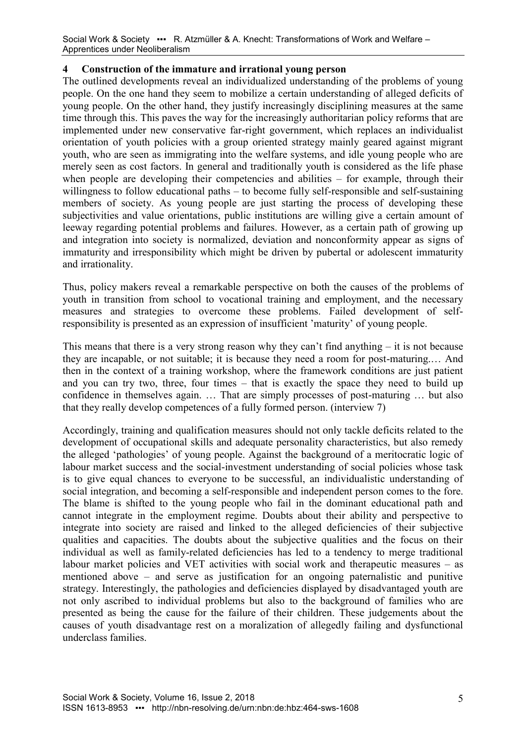#### **4 Construction of the immature and irrational young person**

The outlined developments reveal an individualized understanding of the problems of young people. On the one hand they seem to mobilize a certain understanding of alleged deficits of young people. On the other hand, they justify increasingly disciplining measures at the same time through this. This paves the way for the increasingly authoritarian policy reforms that are implemented under new conservative far-right government, which replaces an individualist orientation of youth policies with a group oriented strategy mainly geared against migrant youth, who are seen as immigrating into the welfare systems, and idle young people who are merely seen as cost factors. In general and traditionally youth is considered as the life phase when people are developing their competencies and abilities – for example, through their willingness to follow educational paths – to become fully self-responsible and self-sustaining members of society. As young people are just starting the process of developing these subjectivities and value orientations, public institutions are willing give a certain amount of leeway regarding potential problems and failures. However, as a certain path of growing up and integration into society is normalized, deviation and nonconformity appear as signs of immaturity and irresponsibility which might be driven by pubertal or adolescent immaturity and irrationality.

Thus, policy makers reveal a remarkable perspective on both the causes of the problems of youth in transition from school to vocational training and employment, and the necessary measures and strategies to overcome these problems. Failed development of selfresponsibility is presented as an expression of insufficient 'maturity' of young people.

This means that there is a very strong reason why they can't find anything  $-$  it is not because they are incapable, or not suitable; it is because they need a room for post-maturing.… And then in the context of a training workshop, where the framework conditions are just patient and you can try two, three, four times – that is exactly the space they need to build up confidence in themselves again. … That are simply processes of post-maturing … but also that they really develop competences of a fully formed person. (interview 7)

Accordingly, training and qualification measures should not only tackle deficits related to the development of occupational skills and adequate personality characteristics, but also remedy the alleged 'pathologies' of young people. Against the background of a meritocratic logic of labour market success and the social-investment understanding of social policies whose task is to give equal chances to everyone to be successful, an individualistic understanding of social integration, and becoming a self-responsible and independent person comes to the fore. The blame is shifted to the young people who fail in the dominant educational path and cannot integrate in the employment regime. Doubts about their ability and perspective to integrate into society are raised and linked to the alleged deficiencies of their subjective qualities and capacities. The doubts about the subjective qualities and the focus on their individual as well as family-related deficiencies has led to a tendency to merge traditional labour market policies and VET activities with social work and therapeutic measures – as mentioned above – and serve as justification for an ongoing paternalistic and punitive strategy. Interestingly, the pathologies and deficiencies displayed by disadvantaged youth are not only ascribed to individual problems but also to the background of families who are presented as being the cause for the failure of their children. These judgements about the causes of youth disadvantage rest on a moralization of allegedly failing and dysfunctional underclass families.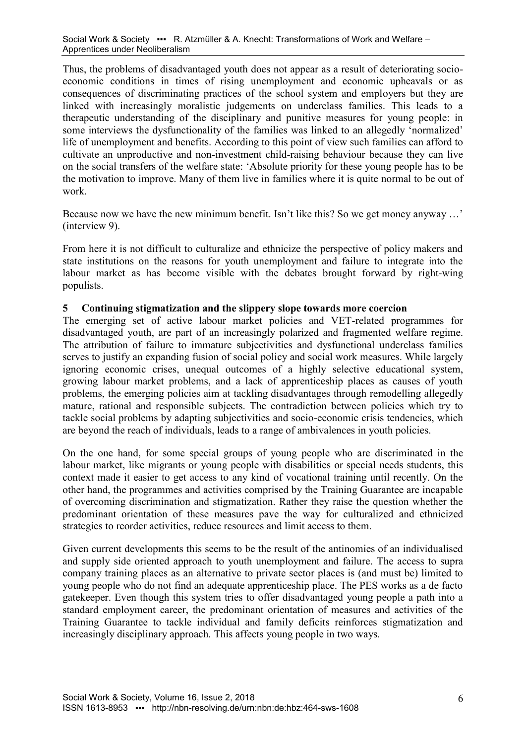Thus, the problems of disadvantaged youth does not appear as a result of deteriorating socioeconomic conditions in times of rising unemployment and economic upheavals or as consequences of discriminating practices of the school system and employers but they are linked with increasingly moralistic judgements on underclass families. This leads to a therapeutic understanding of the disciplinary and punitive measures for young people: in some interviews the dysfunctionality of the families was linked to an allegedly 'normalized' life of unemployment and benefits. According to this point of view such families can afford to cultivate an unproductive and non-investment child-raising behaviour because they can live on the social transfers of the welfare state: 'Absolute priority for these young people has to be the motivation to improve. Many of them live in families where it is quite normal to be out of work.

Because now we have the new minimum benefit. Isn't like this? So we get money anyway ...' (interview 9).

From here it is not difficult to culturalize and ethnicize the perspective of policy makers and state institutions on the reasons for youth unemployment and failure to integrate into the labour market as has become visible with the debates brought forward by right-wing populists.

## **5 Continuing stigmatization and the slippery slope towards more coercion**

The emerging set of active labour market policies and VET-related programmes for disadvantaged youth, are part of an increasingly polarized and fragmented welfare regime. The attribution of failure to immature subjectivities and dysfunctional underclass families serves to justify an expanding fusion of social policy and social work measures. While largely ignoring economic crises, unequal outcomes of a highly selective educational system, growing labour market problems, and a lack of apprenticeship places as causes of youth problems, the emerging policies aim at tackling disadvantages through remodelling allegedly mature, rational and responsible subjects. The contradiction between policies which try to tackle social problems by adapting subjectivities and socio-economic crisis tendencies, which are beyond the reach of individuals, leads to a range of ambivalences in youth policies.

On the one hand, for some special groups of young people who are discriminated in the labour market, like migrants or young people with disabilities or special needs students, this context made it easier to get access to any kind of vocational training until recently. On the other hand, the programmes and activities comprised by the Training Guarantee are incapable of overcoming discrimination and stigmatization. Rather they raise the question whether the predominant orientation of these measures pave the way for culturalized and ethnicized strategies to reorder activities, reduce resources and limit access to them.

Given current developments this seems to be the result of the antinomies of an individualised and supply side oriented approach to youth unemployment and failure. The access to supra company training places as an alternative to private sector places is (and must be) limited to young people who do not find an adequate apprenticeship place. The PES works as a de facto gatekeeper. Even though this system tries to offer disadvantaged young people a path into a standard employment career, the predominant orientation of measures and activities of the Training Guarantee to tackle individual and family deficits reinforces stigmatization and increasingly disciplinary approach. This affects young people in two ways.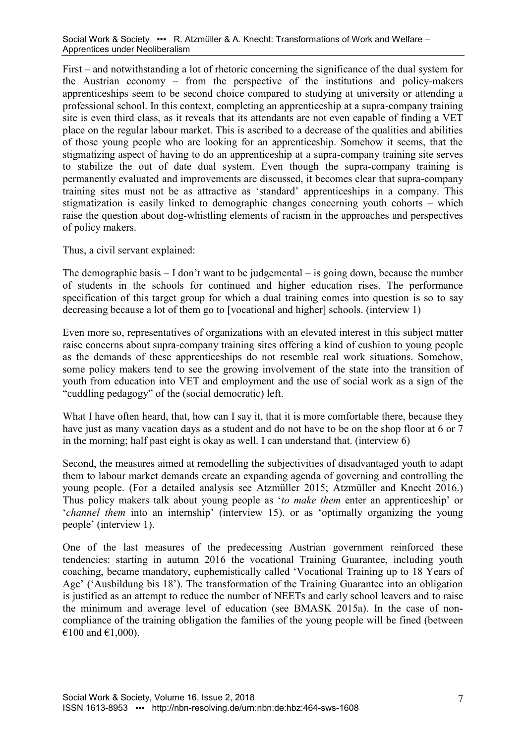First – and notwithstanding a lot of rhetoric concerning the significance of the dual system for the Austrian economy – from the perspective of the institutions and policy-makers apprenticeships seem to be second choice compared to studying at university or attending a professional school. In this context, completing an apprenticeship at a supra-company training site is even third class, as it reveals that its attendants are not even capable of finding a VET place on the regular labour market. This is ascribed to a decrease of the qualities and abilities of those young people who are looking for an apprenticeship. Somehow it seems, that the stigmatizing aspect of having to do an apprenticeship at a supra-company training site serves to stabilize the out of date dual system. Even though the supra-company training is permanently evaluated and improvements are discussed, it becomes clear that supra-company training sites must not be as attractive as 'standard' apprenticeships in a company. This stigmatization is easily linked to demographic changes concerning youth cohorts – which raise the question about dog-whistling elements of racism in the approaches and perspectives of policy makers.

Thus, a civil servant explained:

The demographic basis – I don't want to be judgemental – is going down, because the number of students in the schools for continued and higher education rises. The performance specification of this target group for which a dual training comes into question is so to say decreasing because a lot of them go to [vocational and higher] schools. (interview 1)

Even more so, representatives of organizations with an elevated interest in this subject matter raise concerns about supra-company training sites offering a kind of cushion to young people as the demands of these apprenticeships do not resemble real work situations. Somehow, some policy makers tend to see the growing involvement of the state into the transition of youth from education into VET and employment and the use of social work as a sign of the "cuddling pedagogy" of the (social democratic) left.

What I have often heard, that, how can I say it, that it is more comfortable there, because they have just as many vacation days as a student and do not have to be on the shop floor at 6 or 7 in the morning; half past eight is okay as well. I can understand that. (interview 6)

Second, the measures aimed at remodelling the subjectivities of disadvantaged youth to adapt them to labour market demands create an expanding agenda of governing and controlling the young people. (For a detailed analysis see Atzmüller 2015; Atzmüller and Knecht 2016.) Thus policy makers talk about young people as '*to make them* enter an apprenticeship' or '*channel them* into an internship' (interview 15). or as 'optimally organizing the young people' (interview 1).

One of the last measures of the predecessing Austrian government reinforced these tendencies: starting in autumn 2016 the vocational Training Guarantee, including youth coaching, became mandatory, euphemistically called 'Vocational Training up to 18 Years of Age' ('Ausbildung bis 18'). The transformation of the Training Guarantee into an obligation is justified as an attempt to reduce the number of NEETs and early school leavers and to raise the minimum and average level of education (see BMASK 2015a). In the case of noncompliance of the training obligation the families of the young people will be fined (between €100 and €1,000).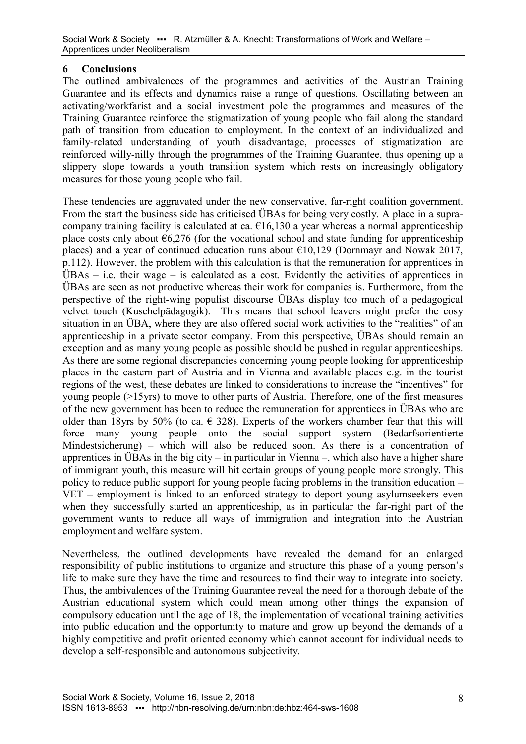## **6 Conclusions**

The outlined ambivalences of the programmes and activities of the Austrian Training Guarantee and its effects and dynamics raise a range of questions. Oscillating between an activating/workfarist and a social investment pole the programmes and measures of the Training Guarantee reinforce the stigmatization of young people who fail along the standard path of transition from education to employment. In the context of an individualized and family-related understanding of youth disadvantage, processes of stigmatization are reinforced willy-nilly through the programmes of the Training Guarantee, thus opening up a slippery slope towards a youth transition system which rests on increasingly obligatory measures for those young people who fail.

These tendencies are aggravated under the new conservative, far-right coalition government. From the start the business side has criticised ÜBAs for being very costly. A place in a supracompany training facility is calculated at ca.  $\epsilon$ 16,130 a year whereas a normal apprenticeship place costs only about  $\epsilon$ 6,276 (for the vocational school and state funding for apprenticeship places) and a year of continued education runs about  $\epsilon$ 10,129 (Dornmayr and Nowak 2017, p.112). However, the problem with this calculation is that the remuneration for apprentices in  $UBAs - i.e.$  their wage – is calculated as a cost. Evidently the activities of apprentices in ÜBAs are seen as not productive whereas their work for companies is. Furthermore, from the perspective of the right-wing populist discourse ÜBAs display too much of a pedagogical velvet touch (Kuschelpädagogik). This means that school leavers might prefer the cosy situation in an ÜBA, where they are also offered social work activities to the "realities" of an apprenticeship in a private sector company. From this perspective, ÜBAs should remain an exception and as many young people as possible should be pushed in regular apprenticeships. As there are some regional discrepancies concerning young people looking for apprenticeship places in the eastern part of Austria and in Vienna and available places e.g. in the tourist regions of the west, these debates are linked to considerations to increase the "incentives" for young people (>15yrs) to move to other parts of Austria. Therefore, one of the first measures of the new government has been to reduce the remuneration for apprentices in ÜBAs who are older than 18yrs by 50% (to ca.  $\in$  328). Experts of the workers chamber fear that this will force many young people onto the social support system (Bedarfsorientierte Mindestsicherung) – which will also be reduced soon. As there is a concentration of apprentices in ÜBAs in the big city – in particular in Vienna –, which also have a higher share of immigrant youth, this measure will hit certain groups of young people more strongly. This policy to reduce public support for young people facing problems in the transition education – VET – employment is linked to an enforced strategy to deport young asylumseekers even when they successfully started an apprenticeship, as in particular the far-right part of the government wants to reduce all ways of immigration and integration into the Austrian employment and welfare system.

Nevertheless, the outlined developments have revealed the demand for an enlarged responsibility of public institutions to organize and structure this phase of a young person's life to make sure they have the time and resources to find their way to integrate into society. Thus, the ambivalences of the Training Guarantee reveal the need for a thorough debate of the Austrian educational system which could mean among other things the expansion of compulsory education until the age of 18, the implementation of vocational training activities into public education and the opportunity to mature and grow up beyond the demands of a highly competitive and profit oriented economy which cannot account for individual needs to develop a self-responsible and autonomous subjectivity.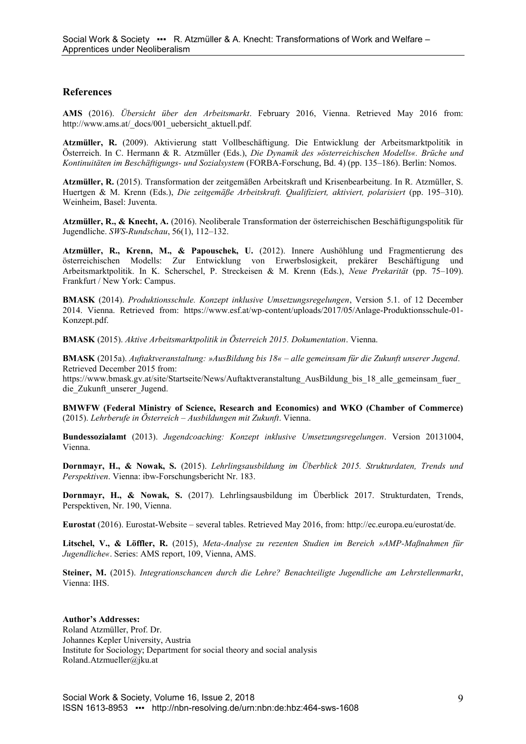#### **References**

**AMS** (2016). *Übersicht über den Arbeitsmarkt*. February 2016, Vienna. Retrieved May 2016 from: http://www.ams.at/\_docs/001\_uebersicht\_aktuell.pdf.

**Atzmüller, R.** (2009). Aktivierung statt Vollbeschäftigung. Die Entwicklung der Arbeitsmarktpolitik in Österreich. In C. Hermann & R. Atzmüller (Eds.), *Die Dynamik des »österreichischen Modells«. Brüche und Kontinuitäten im Beschäftigungs- und Sozialsystem* (FORBA-Forschung, Bd. 4) (pp. 135–186). Berlin: Nomos.

**Atzmüller, R.** (2015). Transformation der zeitgemäßen Arbeitskraft und Krisenbearbeitung. In R. Atzmüller, S. Huertgen & M. Krenn (Eds.), *Die zeitgemäße Arbeitskraft. Qualifiziert, aktiviert, polarisiert* (pp. 195–310). Weinheim, Basel: Juventa.

**Atzmüller, R., & Knecht, A.** (2016). Neoliberale Transformation der österreichischen Beschäftigungspolitik für Jugendliche. *SWS-Rundschau*, 56(1), 112–132.

**Atzmüller, R., Krenn, M., & Papouschek, U.** (2012). Innere Aushöhlung und Fragmentierung des österreichischen Modells: Zur Entwicklung von Erwerbslosigkeit, prekärer Beschäftigung und Arbeitsmarktpolitik. In K. Scherschel, P. Streckeisen & M. Krenn (Eds.), *Neue Prekarität* (pp. 75–109). Frankfurt / New York: Campus.

**BMASK** (2014). *Produktionsschule. Konzept inklusive Umsetzungsregelungen*, Version 5.1. of 12 December 2014. Vienna. Retrieved from: https://www.esf.at/wp-content/uploads/2017/05/Anlage-Produktionsschule-01- Konzept.pdf.

**BMASK** (2015). *Aktive Arbeitsmarktpolitik in Österreich 2015. Dokumentation*. Vienna.

**BMASK** (2015a). *Auftaktveranstaltung: »AusBildung bis 18« – alle gemeinsam für die Zukunft unserer Jugend*. Retrieved December 2015 from:

https://www.bmask.gv.at/site/Startseite/News/Auftaktveranstaltung\_AusBildung\_bis\_18\_alle\_gemeinsam\_fuer\_ die Zukunft unserer Jugend.

**BMWFW (Federal Ministry of Science, Research and Economics) and WKO (Chamber of Commerce)** (2015). *Lehrberufe in Österreich – Ausbildungen mit Zukunft*. Vienna.

**Bundessozialamt** (2013). *Jugendcoaching: Konzept inklusive Umsetzungsregelungen*. Version 20131004, Vienna.

**Dornmayr, H., & Nowak, S.** (2015). *Lehrlingsausbildung im Überblick 2015. Strukturdaten, Trends und Perspektiven*. Vienna: ibw-Forschungsbericht Nr. 183.

**Dornmayr, H., & Nowak, S.** (2017). Lehrlingsausbildung im Überblick 2017. Strukturdaten, Trends, Perspektiven, Nr. 190, Vienna.

**Eurostat** (2016). Eurostat-Website – several tables. Retrieved May 2016, from: http://ec.europa.eu/eurostat/de.

**Litschel, V., & Löffler, R.** (2015), *Meta-Analyse zu rezenten Studien im Bereich »AMP-Maßnahmen für Jugendliche«*. Series: AMS report, 109, Vienna, AMS.

**Steiner, M.** (2015). *Integrationschancen durch die Lehre? Benachteiligte Jugendliche am Lehrstellenmarkt*, Vienna: IHS.

**Author's Addresses:** Roland Atzmüller, Prof. Dr. Johannes Kepler University, Austria Institute for Sociology; Department for social theory and social analysis Roland.Atzmueller@jku.at